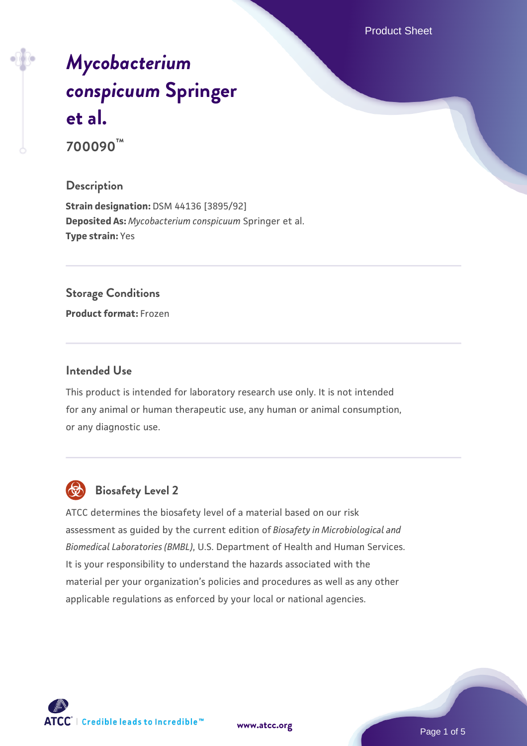Product Sheet

# *[Mycobacterium](https://www.atcc.org/products/700090) [conspicuum](https://www.atcc.org/products/700090)* **[Springer](https://www.atcc.org/products/700090) [et al.](https://www.atcc.org/products/700090) 700090™**

## **Description**

**Strain designation:** DSM 44136 [3895/92] **Deposited As:** *Mycobacterium conspicuum* Springer et al. **Type strain:** Yes

# **Storage Conditions**

**Product format:** Frozen

## **Intended Use**

This product is intended for laboratory research use only. It is not intended for any animal or human therapeutic use, any human or animal consumption, or any diagnostic use.



# **Biosafety Level 2**

ATCC determines the biosafety level of a material based on our risk assessment as guided by the current edition of *Biosafety in Microbiological and Biomedical Laboratories (BMBL)*, U.S. Department of Health and Human Services. It is your responsibility to understand the hazards associated with the material per your organization's policies and procedures as well as any other applicable regulations as enforced by your local or national agencies.

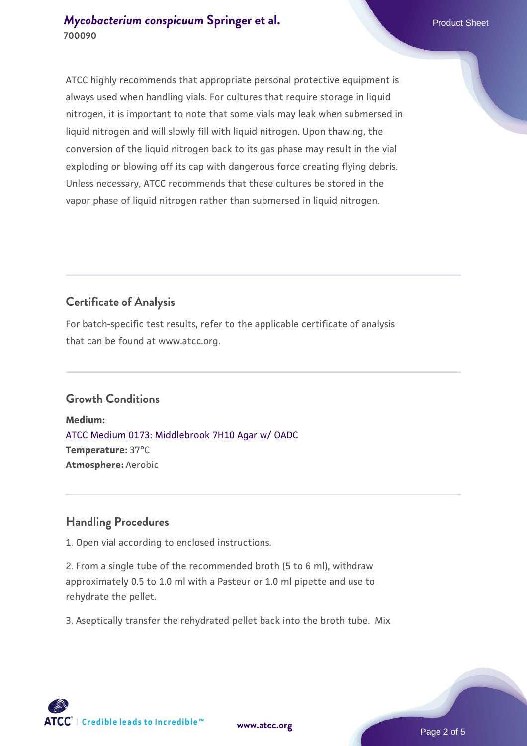# **[Mycobacterium conspicuum](https://www.atcc.org/products/700090) [Springer et al.](https://www.atcc.org/products/700090)** Product Sheet **700090**

ATCC highly recommends that appropriate personal protective equipment is always used when handling vials. For cultures that require storage in liquid nitrogen, it is important to note that some vials may leak when submersed in liquid nitrogen and will slowly fill with liquid nitrogen. Upon thawing, the conversion of the liquid nitrogen back to its gas phase may result in the vial exploding or blowing off its cap with dangerous force creating flying debris. Unless necessary, ATCC recommends that these cultures be stored in the vapor phase of liquid nitrogen rather than submersed in liquid nitrogen.

# **Certificate of Analysis**

For batch-specific test results, refer to the applicable certificate of analysis that can be found at www.atcc.org.

# **Growth Conditions**

**Medium:**  [ATCC Medium 0173: Middlebrook 7H10 Agar w/ OADC](https://www.atcc.org/-/media/product-assets/documents/microbial-media-formulations/0/1/7/3/atcc-medium-0173.pdf?rev=2fcd87d0ebaf471d8aa6aba3758ef39f) **Temperature:** 37°C **Atmosphere:** Aerobic

# **Handling Procedures**

1. Open vial according to enclosed instructions.

2. From a single tube of the recommended broth (5 to 6 ml), withdraw approximately 0.5 to 1.0 ml with a Pasteur or 1.0 ml pipette and use to rehydrate the pellet.

3. Aseptically transfer the rehydrated pellet back into the broth tube. Mix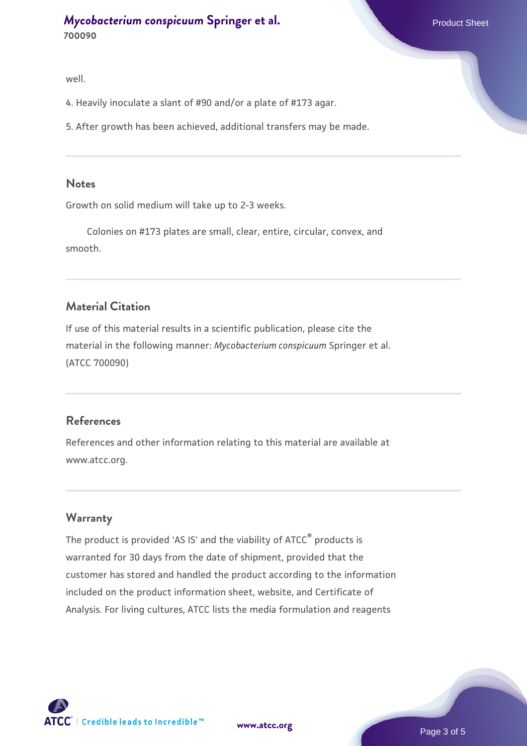well.

4. Heavily inoculate a slant of #90 and/or a plate of #173 agar.

5. After growth has been achieved, additional transfers may be made.

#### **Notes**

Growth on solid medium will take up to 2-3 weeks.

 Colonies on #173 plates are small, clear, entire, circular, convex, and smooth.

## **Material Citation**

If use of this material results in a scientific publication, please cite the material in the following manner: *Mycobacterium conspicuum* Springer et al. (ATCC 700090)

#### **References**

References and other information relating to this material are available at www.atcc.org.

#### **Warranty**

The product is provided 'AS IS' and the viability of ATCC® products is warranted for 30 days from the date of shipment, provided that the customer has stored and handled the product according to the information included on the product information sheet, website, and Certificate of Analysis. For living cultures, ATCC lists the media formulation and reagents

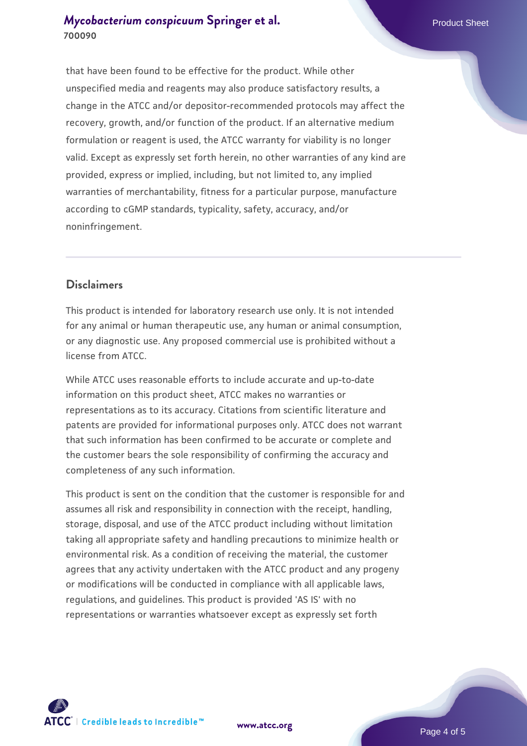that have been found to be effective for the product. While other unspecified media and reagents may also produce satisfactory results, a change in the ATCC and/or depositor-recommended protocols may affect the recovery, growth, and/or function of the product. If an alternative medium formulation or reagent is used, the ATCC warranty for viability is no longer valid. Except as expressly set forth herein, no other warranties of any kind are provided, express or implied, including, but not limited to, any implied warranties of merchantability, fitness for a particular purpose, manufacture according to cGMP standards, typicality, safety, accuracy, and/or noninfringement.

# **Disclaimers**

This product is intended for laboratory research use only. It is not intended for any animal or human therapeutic use, any human or animal consumption, or any diagnostic use. Any proposed commercial use is prohibited without a license from ATCC.

While ATCC uses reasonable efforts to include accurate and up-to-date information on this product sheet, ATCC makes no warranties or representations as to its accuracy. Citations from scientific literature and patents are provided for informational purposes only. ATCC does not warrant that such information has been confirmed to be accurate or complete and the customer bears the sole responsibility of confirming the accuracy and completeness of any such information.

This product is sent on the condition that the customer is responsible for and assumes all risk and responsibility in connection with the receipt, handling, storage, disposal, and use of the ATCC product including without limitation taking all appropriate safety and handling precautions to minimize health or environmental risk. As a condition of receiving the material, the customer agrees that any activity undertaken with the ATCC product and any progeny or modifications will be conducted in compliance with all applicable laws, regulations, and guidelines. This product is provided 'AS IS' with no representations or warranties whatsoever except as expressly set forth



**[www.atcc.org](http://www.atcc.org)**

Page 4 of 5